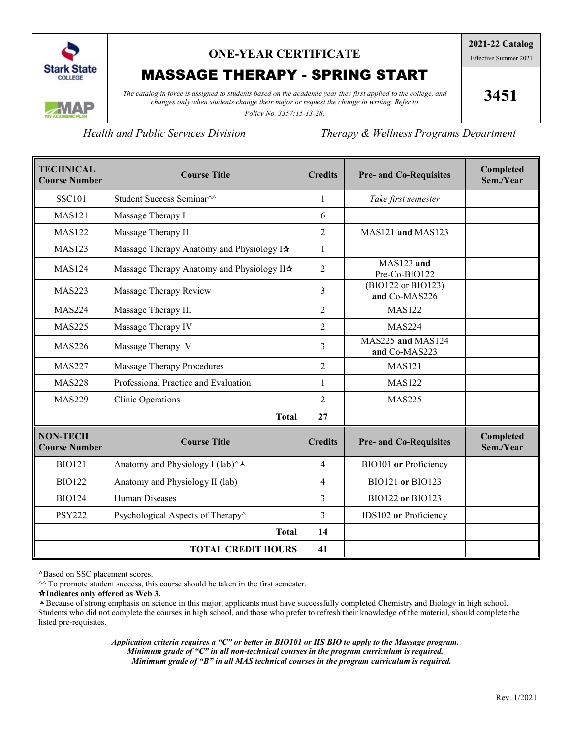

## **ONE-YEAR CERTIFICATE**

# MASSAGE THERAPY - SPRING START

*The catalog in force is assigned to students based on the academic year they first applied to the college, and changes only when students change their major or request the change in writing. Refer to* 

**3451**

*Policy No. 3357:15-13-28.*

*Health and Public Services Division Therapy & Wellness Programs Department*

| <b>TECHNICAL</b><br><b>Course Number</b> | <b>Course Title</b>                                 | <b>Credits</b> | <b>Pre- and Co-Requisites</b>       | Completed<br>Sem./Year |
|------------------------------------------|-----------------------------------------------------|----------------|-------------------------------------|------------------------|
| <b>SSC101</b>                            | Student Success Seminar <sup>^^</sup>               | 1              | Take first semester                 |                        |
| <b>MAS121</b>                            | Massage Therapy I                                   | 6              |                                     |                        |
| <b>MAS122</b>                            | Massage Therapy II                                  | $\overline{2}$ | MAS121 and MAS123                   |                        |
| <b>MAS123</b>                            | Massage Therapy Anatomy and Physiology I*           | 1              |                                     |                        |
| <b>MAS124</b>                            | Massage Therapy Anatomy and Physiology II*          | 2              | MAS123 and<br>Pre-Co-BIO122         |                        |
| <b>MAS223</b>                            | Massage Therapy Review                              | 3              | (BIO122 or BIO123)<br>and Co-MAS226 |                        |
| <b>MAS224</b>                            | Massage Therapy III                                 | 2              | <b>MAS122</b>                       |                        |
| <b>MAS225</b>                            | Massage Therapy IV                                  | $\overline{2}$ | <b>MAS224</b>                       |                        |
| <b>MAS226</b>                            | Massage Therapy V                                   | 3              | MAS225 and MAS124<br>and Co-MAS223  |                        |
| <b>MAS227</b>                            | <b>Massage Therapy Procedures</b>                   | $\overline{2}$ | <b>MAS121</b>                       |                        |
| <b>MAS228</b>                            | Professional Practice and Evaluation                | $\mathbf{1}$   | <b>MAS122</b>                       |                        |
| <b>MAS229</b>                            | <b>Clinic Operations</b>                            | $\overline{2}$ | <b>MAS225</b>                       |                        |
|                                          | <b>Total</b>                                        | 27             |                                     |                        |
| <b>NON-TECH</b><br><b>Course Number</b>  | <b>Course Title</b>                                 | <b>Credits</b> | <b>Pre- and Co-Requisites</b>       | Completed<br>Sem./Year |
| <b>BIO121</b>                            | Anatomy and Physiology I (lab) $\wedge \rightarrow$ | 4              | BIO101 or Proficiency               |                        |
| <b>BIO122</b>                            | Anatomy and Physiology II (lab)                     | 4              | BIO121 or BIO123                    |                        |
| <b>BIO124</b>                            | Human Diseases                                      | 3              | <b>BIO122 or BIO123</b>             |                        |
| <b>PSY222</b>                            | Psychological Aspects of Therapy <sup>^</sup>       | 3              | IDS102 or Proficiency               |                        |
|                                          | <b>Total</b>                                        | 14             |                                     |                        |
|                                          | <b>TOTAL CREDIT HOURS</b>                           | 41             |                                     |                        |

**^**Based on SSC placement scores.

 $\sim$  To promote student success, this course should be taken in the first semester.

**Indicates only offered as Web 3.**

Because of strong emphasis on science in this major, applicants must have successfully completed Chemistry and Biology in high school. Students who did not complete the courses in high school, and those who prefer to refresh their knowledge of the material, should complete the listed pre-requisites.

> *Application criteria requires a "C" or better in BIO101 or HS BIO to apply to the Massage program. Minimum grade of "C" in all non-technical courses in the program curriculum is required. Minimum grade of "B" in all MAS technical courses in the program curriculum is required.*

**2021-22 Catalog** Effective Summer 2021